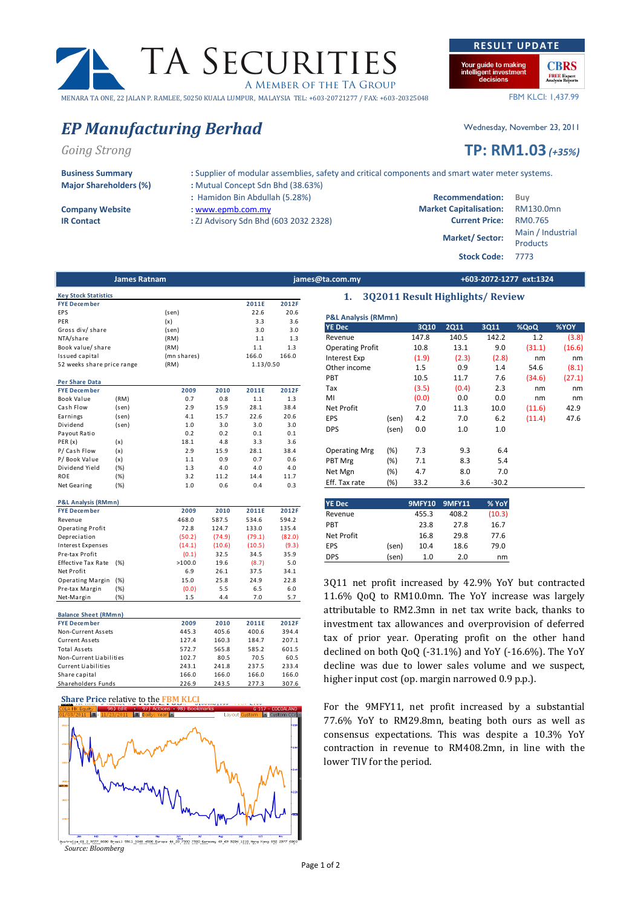# MENARA TA ONE, 22 JALAN P. RAMLEE, 50250 KUALA LUMPUR, MALAYSIA TEL: +603-20721277 / FAX: +603-20325048

## EP Manufacturing Berhad Wednesday, November 23, 2011

Going Strong **TP:** RM1.03 (+35%)

Business Summary : Supplier of modular assemblies, safety and critical components and smart water meter systems.

52 weeks share price range (RM)

- -

1.13/0.50

 $\begin{array}{|c|c|c|}\n\hline\n\text{G 117 - C} \\
\hline\n\text{tom} & \text{C}\n\end{array}$ 

TA SECURITIES

A MEMBER OF THE TA GROUP

James Ratnam james@ta.com.my +603-2072-1277 ext:1324

| <b>P&amp;L Analysis (RMmn)</b><br><b>YE Dec</b> |        | 3Q10  | <b>2Q11</b> | 3Q11    | %QoQ   | <b>%YOY</b> |  |  |
|-------------------------------------------------|--------|-------|-------------|---------|--------|-------------|--|--|
| Revenue                                         |        | 147.8 | 140.5       | 142.2   | 1.2    | (3.8)       |  |  |
| <b>Operating Profit</b>                         |        | 10.8  | 13.1        | 9.0     | (31.1) | (16.6)      |  |  |
| <b>Interest Exp</b>                             |        | (1.9) | (2.3)       | (2.8)   | nm     | nm          |  |  |
| Other income                                    |        | 1.5   | 0.9         | 1.4     | 54.6   | (8.1)       |  |  |
| <b>PBT</b>                                      |        | 10.5  | 11.7        | 7.6     | (34.6) | (27.1)      |  |  |
| Tax                                             |        | (3.5) | (0.4)       | 2.3     | nm     | nm          |  |  |
| MI                                              |        | (0.0) | 0.0         | 0.0     | nm     | nm          |  |  |
| <b>Net Profit</b>                               |        | 7.0   | 11.3        | 10.0    | (11.6) | 42.9        |  |  |
| <b>EPS</b>                                      | (sen)  | 4.2   | 7.0         | 6.2     | (11.4) | 47.6        |  |  |
| <b>DPS</b>                                      | (sen)  | 0.0   | 1.0         | 1.0     |        |             |  |  |
| <b>Operating Mrg</b>                            | $(\%)$ | 7.3   | 9.3         | 6.4     |        |             |  |  |
| PBT Mrg                                         | (%)    | 7.1   | 8.3         | 5.4     |        |             |  |  |
| Net Mgn                                         | (%)    | 4.7   | 8.0         | 7.0     |        |             |  |  |
| Eff. Tax rate                                   | (%)    | 33.2  | 3.6         | $-30.2$ |        |             |  |  |

1. 3Q2011 Result Highlights/ Review

| <b>YE Dec</b> |       | <b>9MFY10</b> | <b>9MFY11</b> | % YoY  |
|---------------|-------|---------------|---------------|--------|
| Revenue       |       | 455.3         | 408.2         | (10.3) |
| <b>PRT</b>    |       | 23.8          | 27.8          | 16.7   |
| Net Profit    |       | 16.8          | 29.8          | 77.6   |
| EPS           | (sen) | 10.4          | 18.6          | 79.0   |
| <b>DPS</b>    | (sen) | 1.0           | 2.0           | nm     |

3Q11 net profit increased by 42.9% YoY but contracted 11.6% QoQ to RM10.0mn. The YoY increase was largely attributable to RM2.3mn in net tax write back, thanks to investment tax allowances and overprovision of deferred tax of prior year. Operating profit on the other hand declined on both QoQ (-31.1%) and YoY (-16.6%). The YoY decline was due to lower sales volume and we suspect, higher input cost (op. margin narrowed 0.9 p.p.).

For the 9MFY11, net profit increased by a substantial 77.6% YoY to RM29.8mn, beating both ours as well as consensus expectations. This was despite a 10.3% YoY contraction in revenue to RM408.2mn, in line with the lower TIV for the period.

Major Shareholders (%) : Mutual Concept Sdn Bhd (38.63%)

FYE December 2011E 2012F EPS (sen) 22.6 20.6 PER (x) 3.3 3.6 Gross div/share (sen) (sen) 3.0 3.0<br>NTA/share (RM) 1.1 1.3 NTA/share (RM) 1.1 1.3 Book value/ share (RM) 1.1 1.3<br>
Issued capital (mn shares) 166.0 166.0 166.0 Issued capital (mn shares) 166.0 166.0

FYE December 2009 2010 2011E 2012F Book Value (RM) 0.7 0.8 1.1 1.3 Cash Flow (sen) 2.9 15.9 28.1 38.4<br>
Earnings (sen) 4.1 15.7 22.6 20.6

Dividend (sen) 1.0 3.0 3.0 3.0 Payout Ratio <br>
PER (x) (x)  $(0.2)$  0.2 0.1 0.1<br>
18.1 4.8 3.3 3.6 PER (x) (x) 18.1 4.8 3.3 3.6 P/ Cash Flow (x) 2.9 15.9 28.1 38.4 P/ Book Value (x)  $1.1$  0.9 0.7 0.6<br>Dividend Yield (%)  $1.3$  4.0 4.0 4.0

ROE (%) 3.2 11.2 14.4 11.7 Net Gearing (%) 1.0 0.6 0.4 0.3

FYE December 2009 2010 2011E 2012F Revenue 468.0 587.5 534.6 594.2 Operating Profit<br>
Depreciation<br>
(50.2) (74.9) (79.1) (82.0) Depreciation (50.2) (74.9) (79.1) Interest Expenses (14.1) (10.6) (10.5) (9.3) Pre-tax Profit (0.1) 32.5 34.5 35.9 Effective Tax Rate (%)  $\times$ 100.0 19.6 (8.7) 5.0<br>Net Profit 6.9 26.1 37.5 34.1

Operating Margin (%) 15.0 25.8 24.9 22.8 Pre-tax Margin (%) (0.0) 5.5 6.5 6.0 Net-Margin (%) 1.5 4.4 7.0 5.7

FYE December 2009 2010 2011E 2012F Non-Current Assets 445.3 405.6 400.6 394.4<br>Current Assets 127.4 160.3 184.7 207.1 Current Assets 127.4 160.3 184.7 207.1 Total Assets 572.7 565.8 585.2 601.5 Non-Current Liabilities 102.7 80.5 70.5 60.5 Current Liabilities 243.1 241.8 237.5 233.4 Share capital 166.0 166.0 166.0 166.0 Shareholders Funds 226.9 243.5 277.3 307.6

ATTO 1.2 9727 8600 Broad1 3511 3048 4500 Europe 44 260 7390 2500 Germany 49 69 3804 1210 Hong Kong 852 25<br>SOUTCE: Bloomberg

**Key Stock Statistic** 

Per Share Data

Dividend Yield

**P&L Analysis (RM** 

Net Profit

Balance Sheet (RMmn)

Share Price relative to the FBM KLCI

→ 97) Action

96) Edit

Earnings

- 
- IR Contact : ZJ Advisory Sdn Bhd (603 2032 2328) Current Price: RM0.765



Stock Code: 7773

**Your quide to making CBRS** ligent investment<br>decisions **FREE Expert**<br>Analysis Reports

FBM KLCI: 1,437.99

RESULT UPDATE